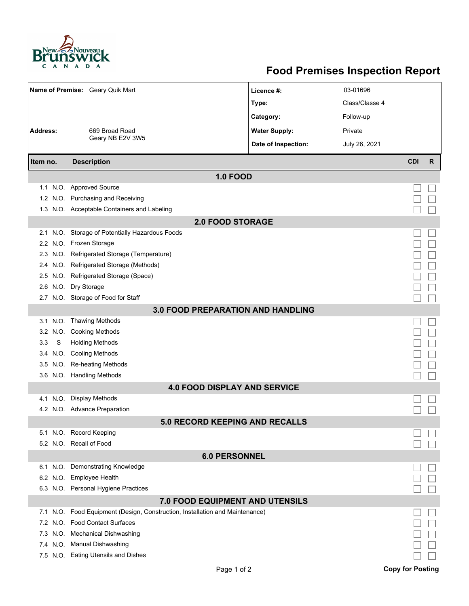

## **Food Premises Inspection Report**

| Name of Premise: Geary Quik Mart         |                                 | Licence #:                                                               | 03-01696             |                |                         |              |  |  |  |
|------------------------------------------|---------------------------------|--------------------------------------------------------------------------|----------------------|----------------|-------------------------|--------------|--|--|--|
|                                          |                                 |                                                                          | Type:                | Class/Classe 4 |                         |              |  |  |  |
|                                          |                                 |                                                                          | Category:            | Follow-up      |                         |              |  |  |  |
| <b>Address:</b>                          |                                 | 669 Broad Road                                                           | <b>Water Supply:</b> | Private        |                         |              |  |  |  |
|                                          |                                 | Geary NB E2V 3W5                                                         | Date of Inspection:  | July 26, 2021  |                         |              |  |  |  |
|                                          |                                 |                                                                          |                      |                |                         |              |  |  |  |
| Item no.                                 |                                 | <b>Description</b>                                                       |                      |                | <b>CDI</b>              | $\mathsf{R}$ |  |  |  |
|                                          |                                 | <b>1.0 FOOD</b>                                                          |                      |                |                         |              |  |  |  |
|                                          |                                 | 1.1 N.O. Approved Source                                                 |                      |                |                         |              |  |  |  |
|                                          |                                 | 1.2 N.O. Purchasing and Receiving                                        |                      |                |                         |              |  |  |  |
|                                          |                                 | 1.3 N.O. Acceptable Containers and Labeling                              |                      |                |                         |              |  |  |  |
| <b>2.0 FOOD STORAGE</b>                  |                                 |                                                                          |                      |                |                         |              |  |  |  |
|                                          |                                 | 2.1 N.O. Storage of Potentially Hazardous Foods                          |                      |                |                         |              |  |  |  |
|                                          |                                 | 2.2 N.O. Frozen Storage                                                  |                      |                |                         |              |  |  |  |
| 2.3                                      |                                 | N.O. Refrigerated Storage (Temperature)                                  |                      |                |                         |              |  |  |  |
|                                          |                                 | 2.4 N.O. Refrigerated Storage (Methods)                                  |                      |                |                         |              |  |  |  |
|                                          |                                 | 2.5 N.O. Refrigerated Storage (Space)                                    |                      |                |                         |              |  |  |  |
|                                          |                                 | 2.6 N.O. Dry Storage                                                     |                      |                |                         |              |  |  |  |
|                                          |                                 | 2.7 N.O. Storage of Food for Staff                                       |                      |                |                         |              |  |  |  |
| <b>3.0 FOOD PREPARATION AND HANDLING</b> |                                 |                                                                          |                      |                |                         |              |  |  |  |
|                                          |                                 | 3.1 N.O. Thawing Methods                                                 |                      |                |                         |              |  |  |  |
| 3.2                                      |                                 | N.O. Cooking Methods                                                     |                      |                |                         |              |  |  |  |
| 3.3                                      | S                               | <b>Holding Methods</b>                                                   |                      |                |                         |              |  |  |  |
| 3.4                                      |                                 | N.O. Cooling Methods                                                     |                      |                |                         |              |  |  |  |
| 3.5                                      |                                 | N.O. Re-heating Methods                                                  |                      |                |                         |              |  |  |  |
|                                          |                                 | 3.6 N.O. Handling Methods                                                |                      |                |                         |              |  |  |  |
| <b>4.0 FOOD DISPLAY AND SERVICE</b>      |                                 |                                                                          |                      |                |                         |              |  |  |  |
|                                          | 4.1 N.O.                        | <b>Display Methods</b>                                                   |                      |                |                         |              |  |  |  |
|                                          |                                 | 4.2 N.O. Advance Preparation                                             |                      |                |                         |              |  |  |  |
| <b>5.0 RECORD KEEPING AND RECALLS</b>    |                                 |                                                                          |                      |                |                         |              |  |  |  |
|                                          |                                 | 5.1 N.O. Record Keeping                                                  |                      |                |                         |              |  |  |  |
|                                          |                                 | 5.2 N.O. Recall of Food                                                  |                      |                |                         |              |  |  |  |
| <b>6.0 PERSONNEL</b>                     |                                 |                                                                          |                      |                |                         |              |  |  |  |
|                                          |                                 | 6.1 N.O. Demonstrating Knowledge                                         |                      |                |                         |              |  |  |  |
|                                          |                                 | 6.2 N.O. Employee Health                                                 |                      |                |                         |              |  |  |  |
|                                          |                                 | 6.3 N.O. Personal Hygiene Practices                                      |                      |                |                         |              |  |  |  |
|                                          | 7.0 FOOD EQUIPMENT AND UTENSILS |                                                                          |                      |                |                         |              |  |  |  |
| 7.1                                      |                                 | N.O. Food Equipment (Design, Construction, Installation and Maintenance) |                      |                |                         |              |  |  |  |
|                                          |                                 | 7.2 N.O. Food Contact Surfaces                                           |                      |                |                         |              |  |  |  |
| 7.3                                      |                                 | N.O. Mechanical Dishwashing                                              |                      |                |                         |              |  |  |  |
|                                          |                                 | 7.4 N.O. Manual Dishwashing                                              |                      |                |                         |              |  |  |  |
|                                          |                                 | 7.5 N.O. Eating Utensils and Dishes                                      |                      |                |                         |              |  |  |  |
|                                          |                                 | Page 1 of 2                                                              |                      |                | <b>Copy for Posting</b> |              |  |  |  |